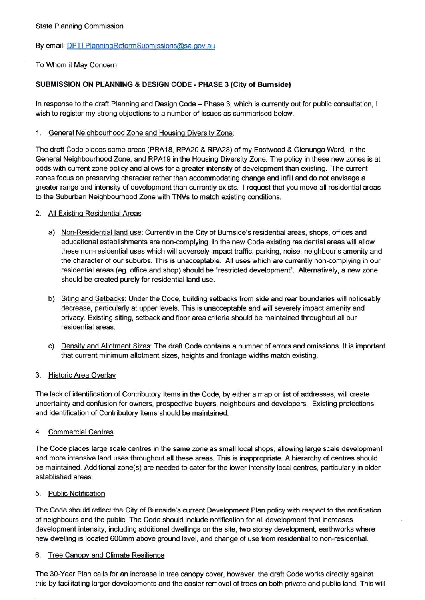By email: DPTI.PlanningReformSubmissions@sa.gov.au

# To Whom it May Concern

## **SUBMISSION ON PLANNING & DESIGN CODE - PHASE 3 (City of Burnside)**

In response to the draft Planning and Design Code - Phase 3, which is currently out for public consultation, I wish to register my strong objections to a number of issues as summarised below.

### 1. General Neighbourhood Zone and Housing Diversity Zone:

The draft Code places some areas (PRA18, RPA20 & RPA28) of my Eastwood & Glenunga Ward, in the General Neighbourhood Zone, and RPA19 in the Housing Diversity Zone. The policy in these new zones is at odds with current zone policy and allows for a greater intensity of development than existing. The current zones focus on preserving character rather than accommodating change and infill and do not envisage a greater range and intensity of development than currently exists. I request that you move all residential areas to the Suburban Neighbourhood Zone with TNVs to match existing conditions.

### 2. All Existing Residential Areas

- a) Non-Residential land use: Currently in the City of Burnside's residential areas, shops, offices and educational establishments are non-complying. In the new Code existing residential areas will allow these non-residential uses which will adversely impact traffic, parking, noise, neighbour's amenity and the character of our suburbs. This is unacceptable. All uses which are currently non-complying in our residential areas (eg. office and shop) should be "restricted development". Alternatively, a new zone should be created purely for residential land use.
- b) Siting and Setbacks: Under the Code, building setbacks from side and rear boundaries will noticeably decrease, particularly at upper levels. This is unacceptable and will severely impact amenity and privacy. Existing siting, setback and floor area criteria should be maintained throughout all our residential areas.
- c) Density and Allotment Sizes: The draft Code contains a number of errors and omissions. It is important that current minimum allotment sizes, heights and frontage widths match existing.

### 3. Historic Area Overlay

The lack of identification of Contributory Items in the Code, by either a map or list of addresses, will create uncertainty and confusion for owners, prospective buyers, neighbours and developers. Existing protections and identification of Contributory Items should be maintained.

### 4. Commercial Centres

The Code places large scale centres in the same zone as small local shops, allowing large scale development and more intensive land uses throughout all these areas. This is inappropriate. **A** hierarchy of centres should be maintained. Additional zone(s) are needed to cater for the lower intensity local centres, particularly in older established areas.

### 5. Public Notification

The Code should reflect the City of Burnside's current Development Plan policy with respect to the notification of neighbours and the public. The Code should include notification for all development that increases development intensity, including additional dwellings on the site, two storey development, earthworks where new dwelling is located 600mm above ground level, and change of use from residential to non-residential.

### 6. Tree Canopy and Climate Resilience

The 30-Year Plan calls for an increase in tree canopy cover, however, the draft Code works directly against this by facilitating larger developments and the easier removal of trees on both private and public land. This will